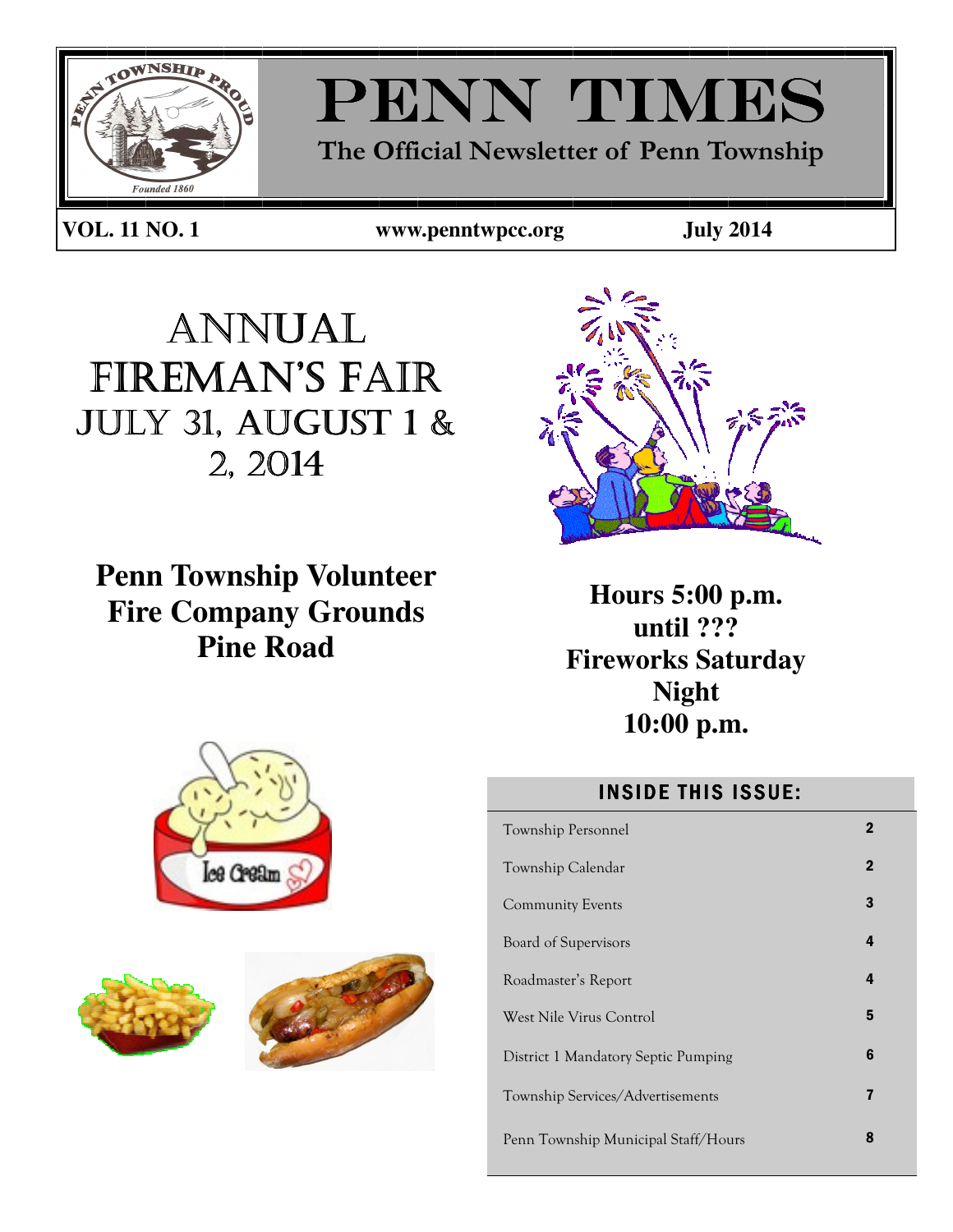

# PENN TIMES

The Official Newsletter of Penn Township

**VOL. 11 NO. 1 www.penntwpcc.org July 2014** 

PAGE 1

ANNUAL FIREMAN'S FAIR JULY 31, AUGUST 1 & 2, 2014

**Penn Township Volunteer Fire Company Grounds Pine Road** 



**Hours 5:00 p.m. until ??? Fireworks Saturday Night 10:00 p.m.** 

# **INSIDE THIS ISSUE:**

| Township Personnel                  | $\mathbf 2$  |
|-------------------------------------|--------------|
| Township Calendar                   | $\mathbf{2}$ |
| <b>Community Events</b>             | 3            |
| Board of Supervisors                | 4            |
| Roadmaster's Report                 | 4            |
| West Nile Virus Control             | 5            |
| District 1 Mandatory Septic Pumping | 6            |
| Township Services/Advertisements    | 7            |
| Penn Township Municipal Staff/Hours | 8            |





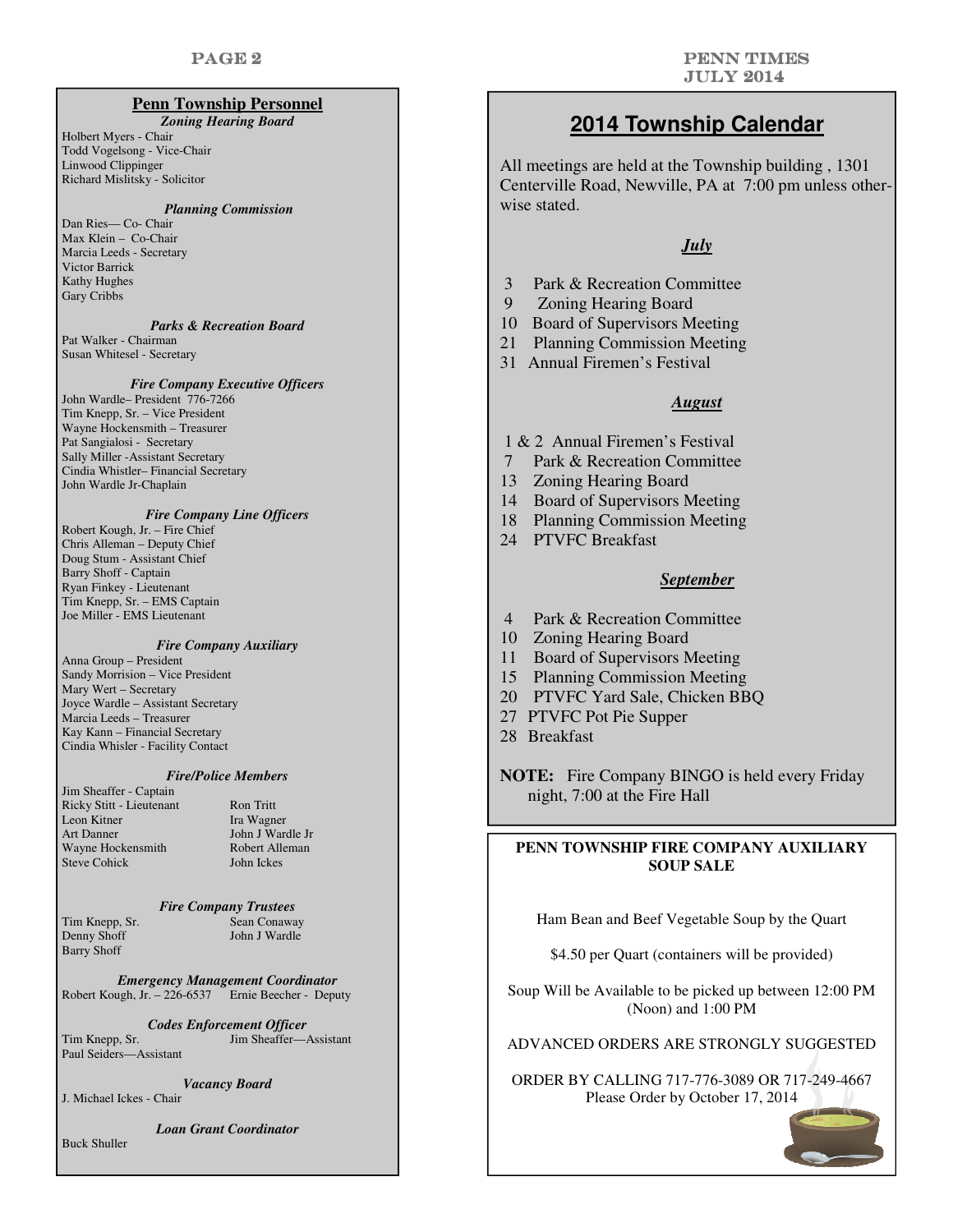#### **Penn Township Personnel**

*Zoning Hearing Board* 

Holbert Myers - Chair Todd Vogelsong - Vice-Chair Linwood Clippinger Richard Mislitsky - Solicitor

#### *Planning Commission*

Dan Ries— Co- Chair Max Klein – Co-Chair Marcia Leeds - Secretary Victor Barrick Kathy Hughes Gary Cribbs

#### *Parks & Recreation Board*

Pat Walker - Chairman Susan Whitesel - Secretary

#### *Fire Company Executive Officers*

John Wardle– President 776-7266 Tim Knepp, Sr. – Vice President Wayne Hockensmith – Treasurer Pat Sangialosi - Secretary Sally Miller -Assistant Secretary Cindia Whistler– Financial Secretary John Wardle Jr-Chaplain

#### *Fire Company Line Officers*

Robert Kough, Jr. – Fire Chief Chris Alleman – Deputy Chief Doug Stum - Assistant Chief Barry Shoff - Captain Ryan Finkey - Lieutenant Tim Knepp, Sr. – EMS Captain Joe Miller - EMS Lieutenant

#### *Fire Company Auxiliary*

Anna Group – President Sandy Morrision – Vice President Mary Wert – Secretary Joyce Wardle – Assistant Secretary Marcia Leeds – Treasurer Kay Kann – Financial Secretary Cindia Whisler - Facility Contact

#### *Fire/Police Members*

| Jim Sheaffer - Captain   |
|--------------------------|
| Ricky Stitt - Lieutenant |
| Leon Kitner              |
| <b>Art Danner</b>        |
| Wayne Hockensmith        |
| <b>Steve Cohick</b>      |

Ron Tritt Ira Wagner John J Wardle Jr Robert Alleman John Ickes

#### *Fire Company Trustees*

Barry Shoff

Tim Knepp, Sr. Sean Conaway<br>
Denny Shoff Shoff John J Wardle John J Wardle

*Emergency Management Coordinator*  Robert Kough, Jr. – 226-6537 Ernie Beecher - Deputy

*Codes Enforcement Officer*  Tim Knepp, Sr. Jim Sheaffer—Assistant Paul Seiders—Assistant

*Vacancy Board* 

J. Michael Ickes - Chair

*Loan Grant Coordinator* 

Buck Shuller

# **2014 Township Calendar**

All meetings are held at the Township building , 1301 Centerville Road, Newville, PA at 7:00 pm unless otherwise stated.

#### *July*

- 3 Park & Recreation Committee
- 9 Zoning Hearing Board
- 10 Board of Supervisors Meeting
- 21 Planning Commission Meeting
- 31 Annual Firemen's Festival

#### *August*

- 1 & 2 Annual Firemen's Festival
- 7 Park & Recreation Committee
- 13 Zoning Hearing Board
- 14 Board of Supervisors Meeting
- 18 Planning Commission Meeting
- 24 PTVFC Breakfast

#### *September*

- 4 Park & Recreation Committee
- 10 Zoning Hearing Board
- 11 Board of Supervisors Meeting
- 15 Planning Commission Meeting
- 20 PTVFC Yard Sale, Chicken BBQ
- 27 PTVFC Pot Pie Supper
- 28 Breakfast

**NOTE:** Fire Company BINGO is held every Friday night, 7:00 at the Fire Hall

#### **PENN TOWNSHIP FIRE COMPANY AUXILIARY SOUP SALE**

Ham Bean and Beef Vegetable Soup by the Quart

\$4.50 per Quart (containers will be provided)

Soup Will be Available to be picked up between 12:00 PM (Noon) and 1:00 PM

ADVANCED ORDERS ARE STRONGLY SUGGESTED

ORDER BY CALLING 717-776-3089 OR 717-249-4667 Please Order by October 17, 2014

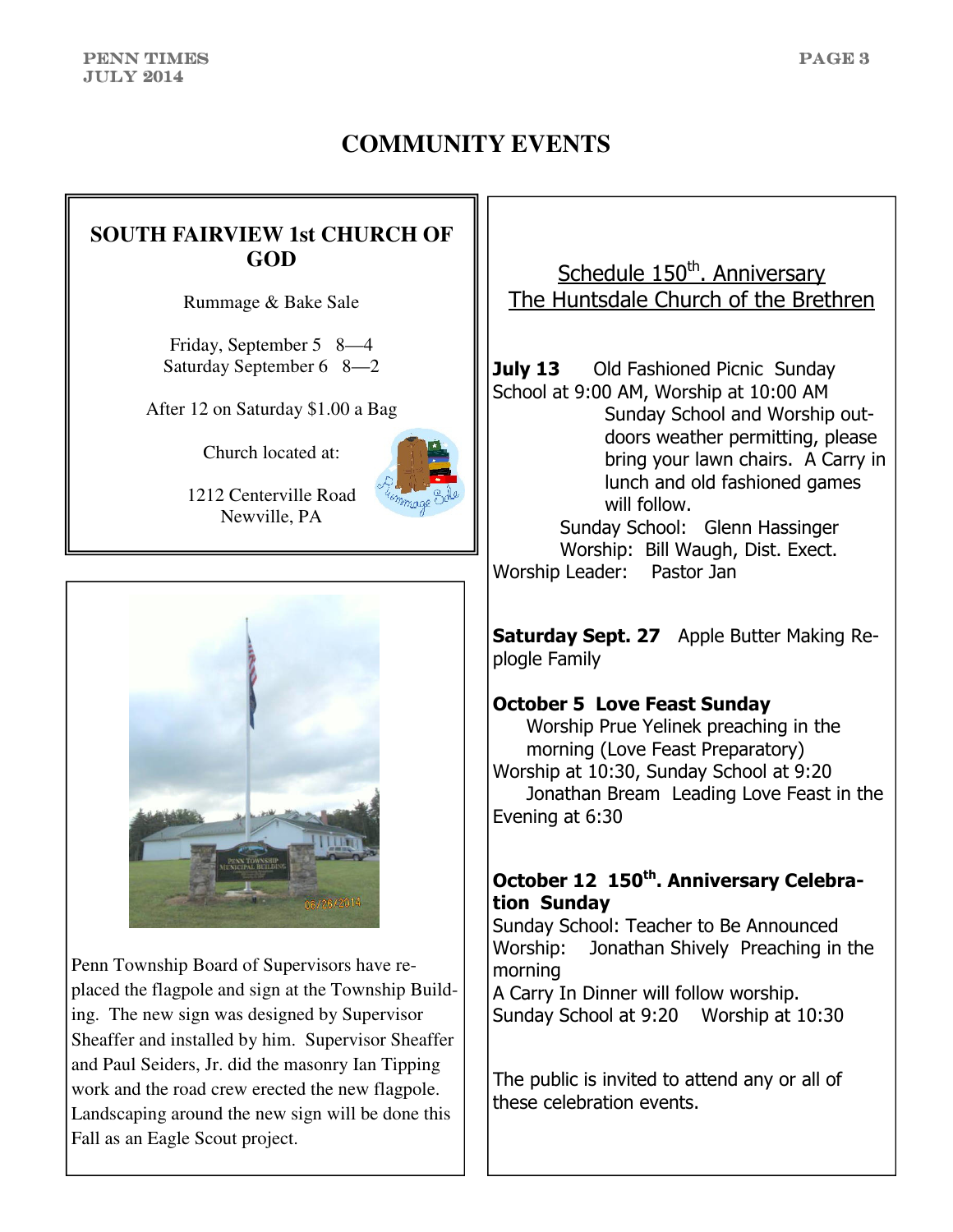# **COMMUNITY EVENTS**

# **SOUTH FAIRVIEW 1st CHURCH OF GOD**

Rummage & Bake Sale

Friday, September 5 8—4 Saturday September 6 8—2

After 12 on Saturday \$1.00 a Bag

Church located at:



1212 Centerville Road Newville, PA



Penn Township Board of Supervisors have replaced the flagpole and sign at the Township Building. The new sign was designed by Supervisor Sheaffer and installed by him. Supervisor Sheaffer and Paul Seiders, Jr. did the masonry Ian Tipping work and the road crew erected the new flagpole. Landscaping around the new sign will be done this Fall as an Eagle Scout project.

Schedule 150<sup>th</sup>. Anniversary The Huntsdale Church of the Brethren

**July 13** Old Fashioned Picnic Sunday School at 9:00 AM, Worship at 10:00 AM Sunday School and Worship outdoors weather permitting, please bring your lawn chairs. A Carry in lunch and old fashioned games will follow. Sunday School: Glenn Hassinger Worship: Bill Waugh, Dist. Exect.

Worship Leader: Pastor Jan

Saturday Sept. 27 Apple Butter Making Replogle Family

## October 5 Love Feast Sunday

 Worship Prue Yelinek preaching in the morning (Love Feast Preparatory) Worship at 10:30, Sunday School at 9:20 Jonathan Bream Leading Love Feast in the Evening at 6:30

# October 12 150<sup>th</sup>. Anniversary Celebration Sunday

Sunday School: Teacher to Be Announced Worship: Jonathan Shively Preaching in the morning

A Carry In Dinner will follow worship. Sunday School at 9:20 Worship at 10:30

The public is invited to attend any or all of these celebration events.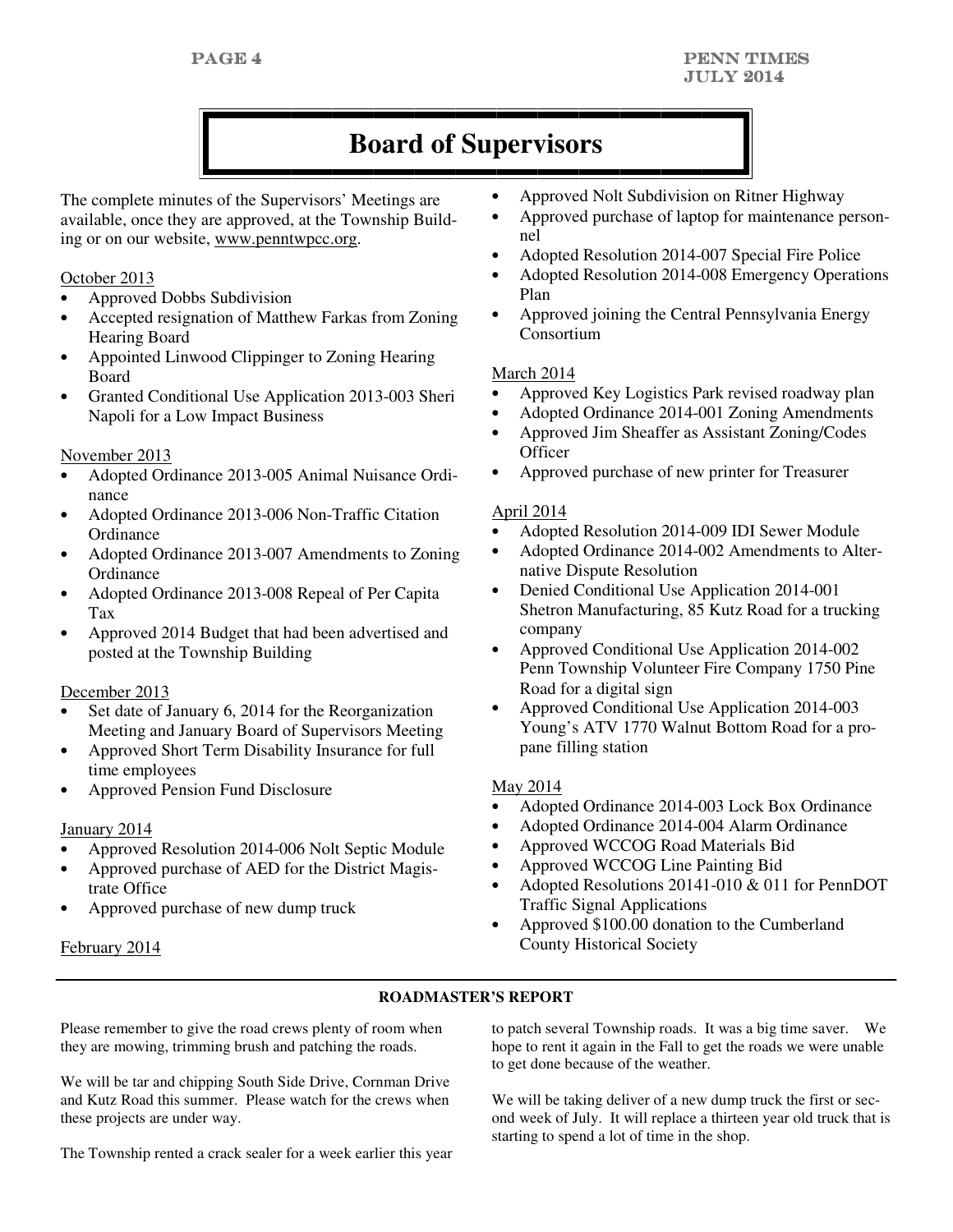# **Board of Supervisors**

The complete minutes of the Supervisors' Meetings are available, once they are approved, at the Township Building or on our website, www.penntwpcc.org.

#### October 2013

- Approved Dobbs Subdivision
- Accepted resignation of Matthew Farkas from Zoning Hearing Board
- Appointed Linwood Clippinger to Zoning Hearing Board
- Granted Conditional Use Application 2013-003 Sheri Napoli for a Low Impact Business

#### November 2013

- Adopted Ordinance 2013-005 Animal Nuisance Ordinance
- Adopted Ordinance 2013-006 Non-Traffic Citation **Ordinance**
- Adopted Ordinance 2013-007 Amendments to Zoning **Ordinance**
- Adopted Ordinance 2013-008 Repeal of Per Capita Tax
- Approved 2014 Budget that had been advertised and posted at the Township Building

#### December 2013

- Set date of January 6, 2014 for the Reorganization Meeting and January Board of Supervisors Meeting
- Approved Short Term Disability Insurance for full time employees
- Approved Pension Fund Disclosure

#### January 2014

- Approved Resolution 2014-006 Nolt Septic Module
- Approved purchase of AED for the District Magistrate Office
- Approved purchase of new dump truck

#### February 2014

- Approved Nolt Subdivision on Ritner Highway
- Approved purchase of laptop for maintenance personnel
- Adopted Resolution 2014-007 Special Fire Police
- Adopted Resolution 2014-008 Emergency Operations Plan
- Approved joining the Central Pennsylvania Energy Consortium

#### March 2014

- Approved Key Logistics Park revised roadway plan
- Adopted Ordinance 2014-001 Zoning Amendments
- Approved Jim Sheaffer as Assistant Zoning/Codes **Officer**
- Approved purchase of new printer for Treasurer

#### April 2014

- Adopted Resolution 2014-009 IDI Sewer Module
- Adopted Ordinance 2014-002 Amendments to Alternative Dispute Resolution
- Denied Conditional Use Application 2014-001 Shetron Manufacturing, 85 Kutz Road for a trucking company
- Approved Conditional Use Application 2014-002 Penn Township Volunteer Fire Company 1750 Pine Road for a digital sign
- Approved Conditional Use Application 2014-003 Young's ATV 1770 Walnut Bottom Road for a propane filling station

#### May 2014

- Adopted Ordinance 2014-003 Lock Box Ordinance
- Adopted Ordinance 2014-004 Alarm Ordinance
- Approved WCCOG Road Materials Bid
- Approved WCCOG Line Painting Bid
- Adopted Resolutions 20141-010 & 011 for PennDOT Traffic Signal Applications
- Approved \$100.00 donation to the Cumberland County Historical Society

#### **ROADMASTER'S REPORT**

Please remember to give the road crews plenty of room when they are mowing, trimming brush and patching the roads.

We will be tar and chipping South Side Drive, Cornman Drive and Kutz Road this summer. Please watch for the crews when these projects are under way.

The Township rented a crack sealer for a week earlier this year

to patch several Township roads. It was a big time saver. We hope to rent it again in the Fall to get the roads we were unable to get done because of the weather.

We will be taking deliver of a new dump truck the first or second week of July. It will replace a thirteen year old truck that is starting to spend a lot of time in the shop.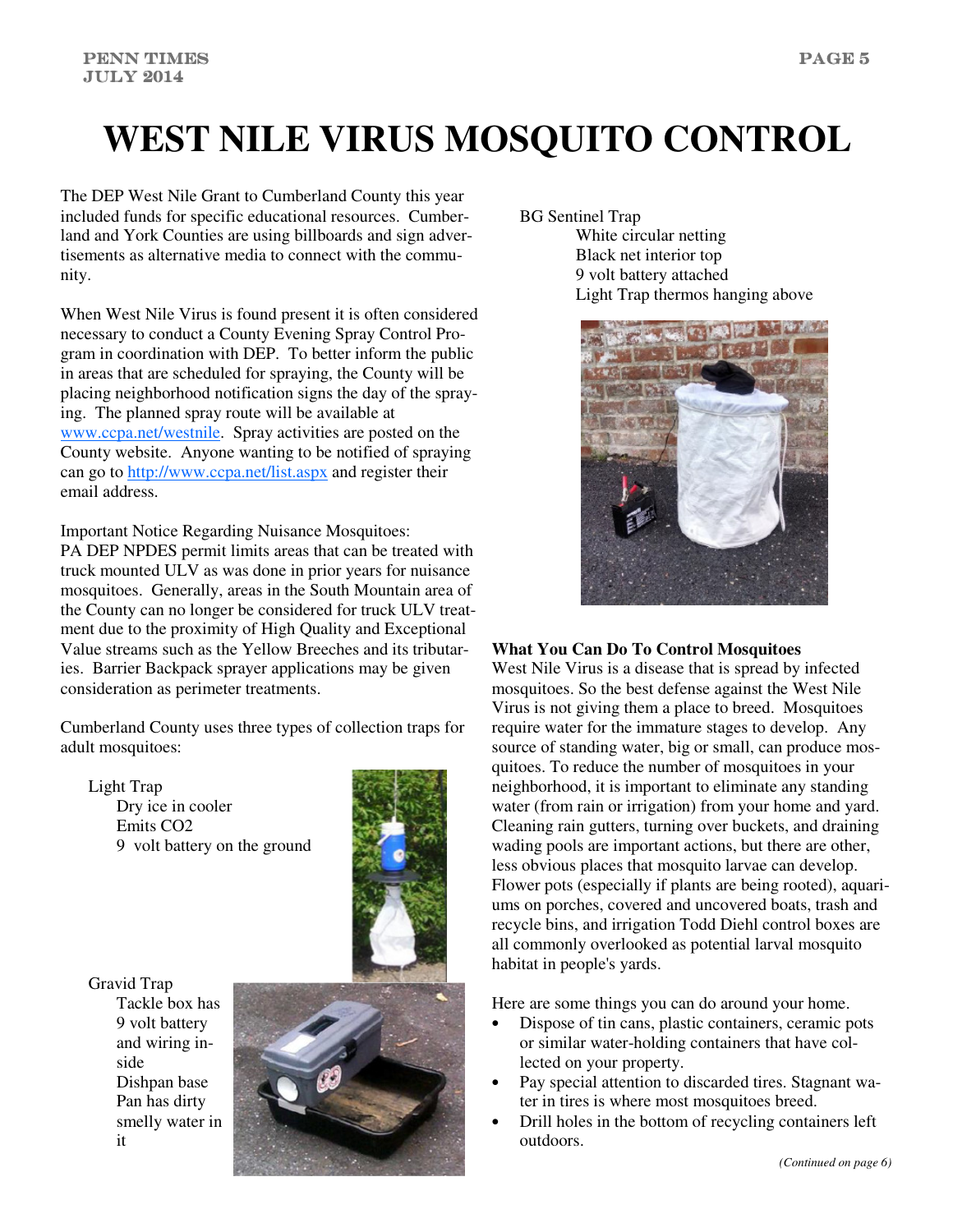# **WEST NILE VIRUS MOSQUITO CONTROL**

The DEP West Nile Grant to Cumberland County this year included funds for specific educational resources. Cumberland and York Counties are using billboards and sign advertisements as alternative media to connect with the community.

When West Nile Virus is found present it is often considered necessary to conduct a County Evening Spray Control Program in coordination with DEP. To better inform the public in areas that are scheduled for spraying, the County will be placing neighborhood notification signs the day of the spraying. The planned spray route will be available at www.ccpa.net/westnile. Spray activities are posted on the County website. Anyone wanting to be notified of spraying can go to http://www.ccpa.net/list.aspx and register their email address.

Important Notice Regarding Nuisance Mosquitoes: PA DEP NPDES permit limits areas that can be treated with truck mounted ULV as was done in prior years for nuisance mosquitoes. Generally, areas in the South Mountain area of the County can no longer be considered for truck ULV treatment due to the proximity of High Quality and Exceptional Value streams such as the Yellow Breeches and its tributaries. Barrier Backpack sprayer applications may be given consideration as perimeter treatments.

Cumberland County uses three types of collection traps for adult mosquitoes:

Light Trap Dry ice in cooler Emits CO2 9 volt battery on the ground



Gravid Trap Tackle box has 9 volt battery and wiring inside Dishpan base Pan has dirty smelly water in it



BG Sentinel Trap

White circular netting Black net interior top 9 volt battery attached Light Trap thermos hanging above



#### **What You Can Do To Control Mosquitoes**

West Nile Virus is a disease that is spread by infected mosquitoes. So the best defense against the West Nile Virus is not giving them a place to breed. Mosquitoes require water for the immature stages to develop. Any source of standing water, big or small, can produce mosquitoes. To reduce the number of mosquitoes in your neighborhood, it is important to eliminate any standing water (from rain or irrigation) from your home and yard. Cleaning rain gutters, turning over buckets, and draining wading pools are important actions, but there are other, less obvious places that mosquito larvae can develop. Flower pots (especially if plants are being rooted), aquariums on porches, covered and uncovered boats, trash and recycle bins, and irrigation Todd Diehl control boxes are all commonly overlooked as potential larval mosquito habitat in people's yards.

Here are some things you can do around your home.

- Dispose of tin cans, plastic containers, ceramic pots or similar water-holding containers that have collected on your property.
- Pay special attention to discarded tires. Stagnant water in tires is where most mosquitoes breed.
- Drill holes in the bottom of recycling containers left outdoors.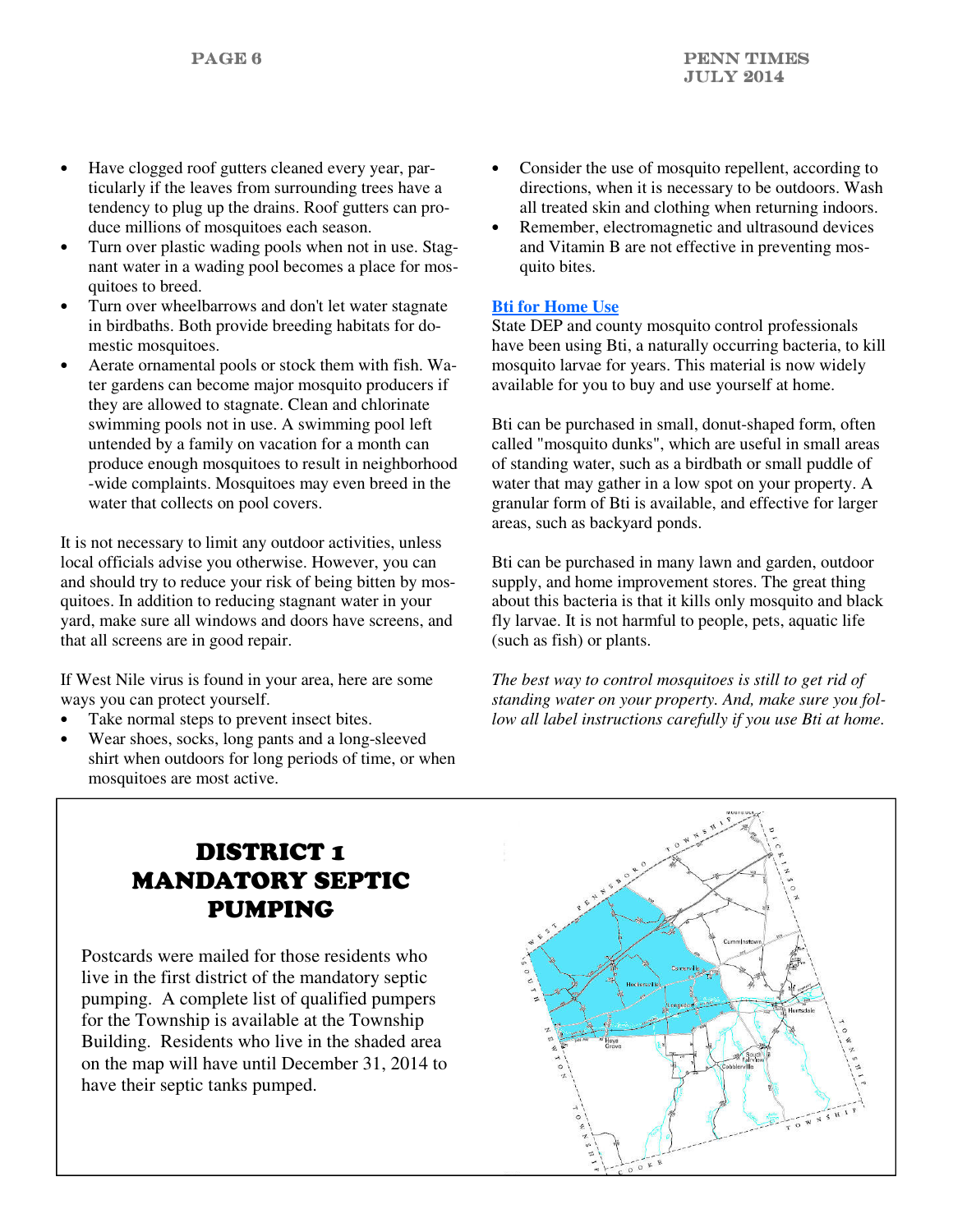- Have clogged roof gutters cleaned every year, particularly if the leaves from surrounding trees have a tendency to plug up the drains. Roof gutters can produce millions of mosquitoes each season.
- Turn over plastic wading pools when not in use. Stagnant water in a wading pool becomes a place for mosquitoes to breed.
- Turn over wheelbarrows and don't let water stagnate in birdbaths. Both provide breeding habitats for domestic mosquitoes.
- Aerate ornamental pools or stock them with fish. Water gardens can become major mosquito producers if they are allowed to stagnate. Clean and chlorinate swimming pools not in use. A swimming pool left untended by a family on vacation for a month can produce enough mosquitoes to result in neighborhood -wide complaints. Mosquitoes may even breed in the water that collects on pool covers.

It is not necessary to limit any outdoor activities, unless local officials advise you otherwise. However, you can and should try to reduce your risk of being bitten by mosquitoes. In addition to reducing stagnant water in your yard, make sure all windows and doors have screens, and that all screens are in good repair.

If West Nile virus is found in your area, here are some ways you can protect yourself.

- Take normal steps to prevent insect bites.
- Wear shoes, socks, long pants and a long-sleeved shirt when outdoors for long periods of time, or when mosquitoes are most active.
- Consider the use of mosquito repellent, according to directions, when it is necessary to be outdoors. Wash all treated skin and clothing when returning indoors.
- Remember, electromagnetic and ultrasound devices and Vitamin B are not effective in preventing mosquito bites.

### **Bti for Home Use**

State DEP and county mosquito control professionals have been using Bti, a naturally occurring bacteria, to kill mosquito larvae for years. This material is now widely available for you to buy and use yourself at home.

Bti can be purchased in small, donut-shaped form, often called "mosquito dunks", which are useful in small areas of standing water, such as a birdbath or small puddle of water that may gather in a low spot on your property. A granular form of Bti is available, and effective for larger areas, such as backyard ponds.

Bti can be purchased in many lawn and garden, outdoor supply, and home improvement stores. The great thing about this bacteria is that it kills only mosquito and black fly larvae. It is not harmful to people, pets, aquatic life (such as fish) or plants.

*The best way to control mosquitoes is still to get rid of standing water on your property. And, make sure you follow all label instructions carefully if you use Bti at home.*

# DISTRICT 1 MANDATORY SEPTIC PUMPING

Postcards were mailed for those residents who live in the first district of the mandatory septic pumping. A complete list of qualified pumpers for the Township is available at the Township Building. Residents who live in the shaded area on the map will have until December 31, 2014 to have their septic tanks pumped.

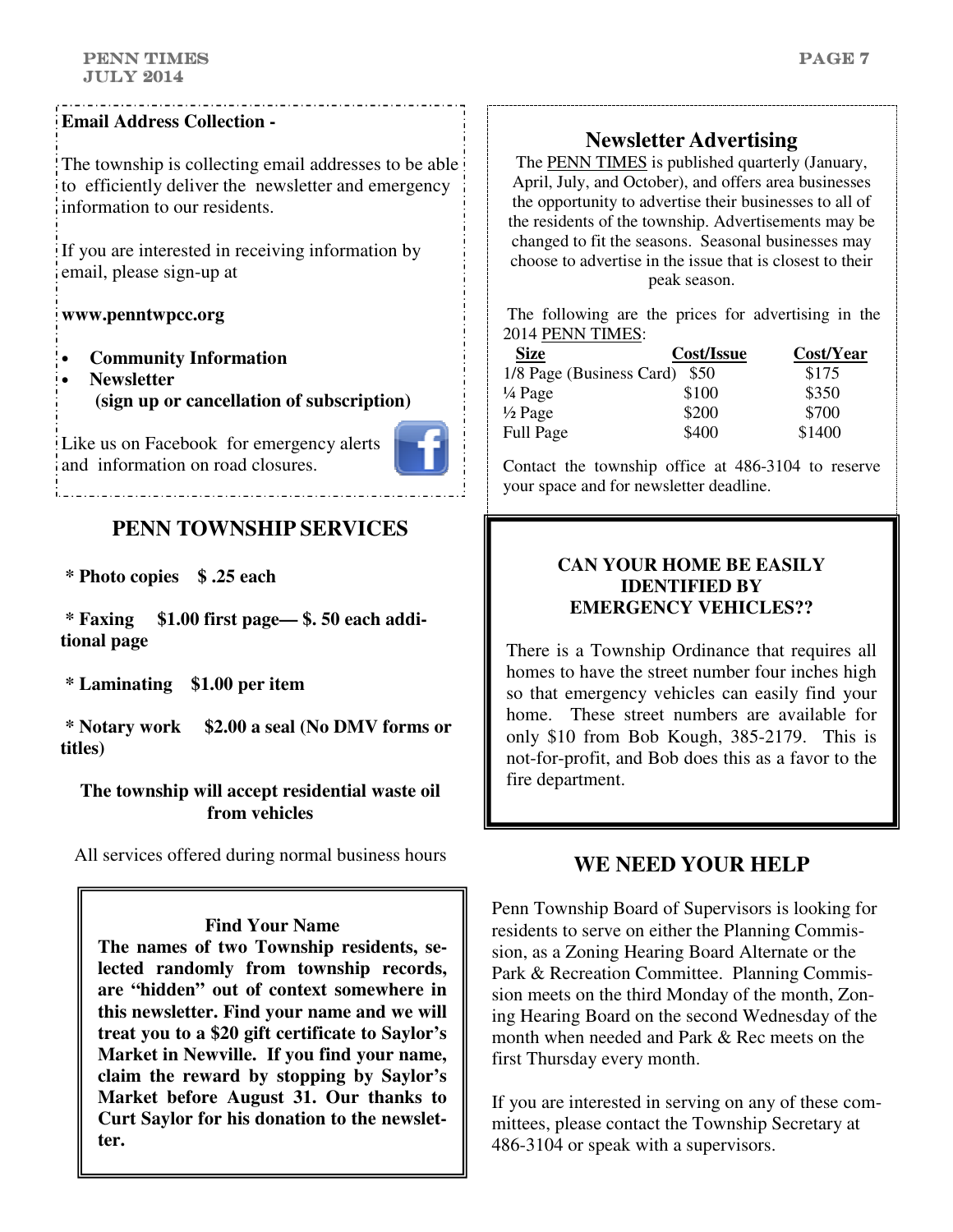### **Email Address Collection -**

The township is collecting email addresses to be able to efficiently deliver the newsletter and emergency information to our residents.

If you are interested in receiving information by email, please sign-up at

#### **www.penntwpcc.org**

- **Community Information**
- **Newsletter (sign up or cancellation of subscription)**

Like us on Facebook for emergency alerts and information on road closures.



# **PENN TOWNSHIP SERVICES**

 **\* Photo copies \$ .25 each** 

 **\* Faxing \$1.00 first page— \$. 50 each additional page** 

 **\* Laminating \$1.00 per item** 

 **\* Notary work \$2.00 a seal (No DMV forms or titles)** 

**The township will accept residential waste oil from vehicles** 

All services offered during normal business hours

**Find Your Name** 

**The names of two Township residents, selected randomly from township records, are "hidden" out of context somewhere in this newsletter. Find your name and we will treat you to a \$20 gift certificate to Saylor's Market in Newville. If you find your name, claim the reward by stopping by Saylor's Market before August 31. Our thanks to Curt Saylor for his donation to the newsletter.**

# **Newsletter Advertising**

The PENN TIMES is published quarterly (January, April, July, and October), and offers area businesses the opportunity to advertise their businesses to all of the residents of the township. Advertisements may be changed to fit the seasons. Seasonal businesses may choose to advertise in the issue that is closest to their peak season.

 The following are the prices for advertising in the 2014 PENN TIMES:

| <b>Size</b>                   | Cost/Issue | Cost/Year |
|-------------------------------|------------|-----------|
| 1/8 Page (Business Card) \$50 |            | \$175     |
| $\frac{1}{4}$ Page            | \$100      | \$350     |
| $\frac{1}{2}$ Page            | \$200      | \$700     |
| Full Page                     | \$400      | \$1400    |

Contact the township office at 486-3104 to reserve your space and for newsletter deadline.

### **CAN YOUR HOME BE EASILY IDENTIFIED BY EMERGENCY VEHICLES??**

There is a Township Ordinance that requires all homes to have the street number four inches high so that emergency vehicles can easily find your home. These street numbers are available for only \$10 from Bob Kough, 385-2179. This is not-for-profit, and Bob does this as a favor to the fire department.

## **WE NEED YOUR HELP**

Penn Township Board of Supervisors is looking for residents to serve on either the Planning Commission, as a Zoning Hearing Board Alternate or the Park & Recreation Committee. Planning Commission meets on the third Monday of the month, Zoning Hearing Board on the second Wednesday of the month when needed and Park & Rec meets on the first Thursday every month.

If you are interested in serving on any of these committees, please contact the Township Secretary at 486-3104 or speak with a supervisors.